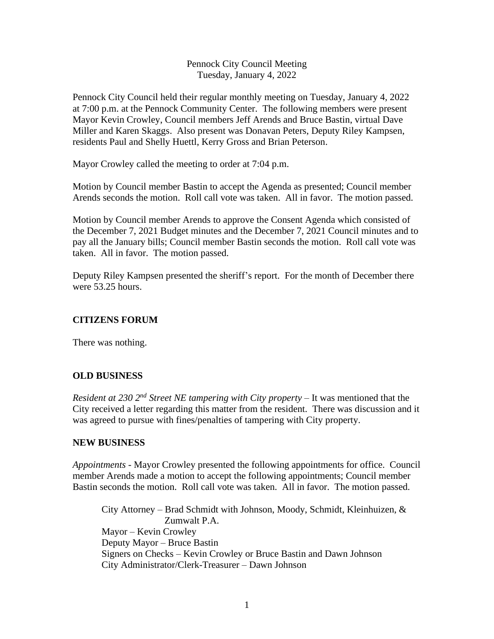### Pennock City Council Meeting Tuesday, January 4, 2022

Pennock City Council held their regular monthly meeting on Tuesday, January 4, 2022 at 7:00 p.m. at the Pennock Community Center. The following members were present Mayor Kevin Crowley, Council members Jeff Arends and Bruce Bastin, virtual Dave Miller and Karen Skaggs. Also present was Donavan Peters, Deputy Riley Kampsen, residents Paul and Shelly Huettl, Kerry Gross and Brian Peterson.

Mayor Crowley called the meeting to order at 7:04 p.m.

Motion by Council member Bastin to accept the Agenda as presented; Council member Arends seconds the motion. Roll call vote was taken. All in favor. The motion passed.

Motion by Council member Arends to approve the Consent Agenda which consisted of the December 7, 2021 Budget minutes and the December 7, 2021 Council minutes and to pay all the January bills; Council member Bastin seconds the motion. Roll call vote was taken. All in favor. The motion passed.

Deputy Riley Kampsen presented the sheriff's report. For the month of December there were 53.25 hours.

## **CITIZENS FORUM**

There was nothing.

#### **OLD BUSINESS**

*Resident at 230 2<sup>nd</sup> Street NE tampering with City property – It was mentioned that the* City received a letter regarding this matter from the resident. There was discussion and it was agreed to pursue with fines/penalties of tampering with City property.

#### **NEW BUSINESS**

*Appointments* - Mayor Crowley presented the following appointments for office. Council member Arends made a motion to accept the following appointments; Council member Bastin seconds the motion. Roll call vote was taken. All in favor. The motion passed.

City Attorney – Brad Schmidt with Johnson, Moody, Schmidt, Kleinhuizen, & Zumwalt P.A. Mayor – Kevin Crowley Deputy Mayor – Bruce Bastin Signers on Checks – Kevin Crowley or Bruce Bastin and Dawn Johnson City Administrator/Clerk-Treasurer – Dawn Johnson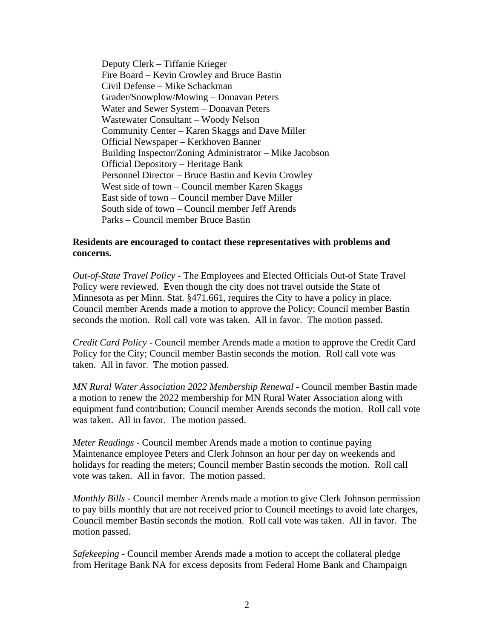Deputy Clerk – Tiffanie Krieger Fire Board – Kevin Crowley and Bruce Bastin Civil Defense – Mike Schackman Grader/Snowplow/Mowing – Donavan Peters Water and Sewer System – Donavan Peters Wastewater Consultant – Woody Nelson Community Center – Karen Skaggs and Dave Miller Official Newspaper – Kerkhoven Banner Building Inspector/Zoning Administrator – Mike Jacobson Official Depository – Heritage Bank Personnel Director – Bruce Bastin and Kevin Crowley West side of town – Council member Karen Skaggs East side of town – Council member Dave Miller South side of town – Council member Jeff Arends Parks – Council member Bruce Bastin

#### **Residents are encouraged to contact these representatives with problems and concerns.**

*Out-of-State Travel Policy -* The Employees and Elected Officials Out-of State Travel Policy were reviewed. Even though the city does not travel outside the State of Minnesota as per Minn. Stat. §471.661, requires the City to have a policy in place. Council member Arends made a motion to approve the Policy; Council member Bastin seconds the motion. Roll call vote was taken. All in favor. The motion passed.

*Credit Card Policy* - Council member Arends made a motion to approve the Credit Card Policy for the City; Council member Bastin seconds the motion. Roll call vote was taken. All in favor. The motion passed.

*MN Rural Water Association 2022 Membership Renewal -* Council member Bastin made a motion to renew the 2022 membership for MN Rural Water Association along with equipment fund contribution; Council member Arends seconds the motion. Roll call vote was taken. All in favor. The motion passed.

*Meter Readings* - Council member Arends made a motion to continue paying Maintenance employee Peters and Clerk Johnson an hour per day on weekends and holidays for reading the meters; Council member Bastin seconds the motion. Roll call vote was taken. All in favor. The motion passed.

*Monthly Bills* - Council member Arends made a motion to give Clerk Johnson permission to pay bills monthly that are not received prior to Council meetings to avoid late charges, Council member Bastin seconds the motion. Roll call vote was taken. All in favor. The motion passed.

*Safekeeping* - Council member Arends made a motion to accept the collateral pledge from Heritage Bank NA for excess deposits from Federal Home Bank and Champaign